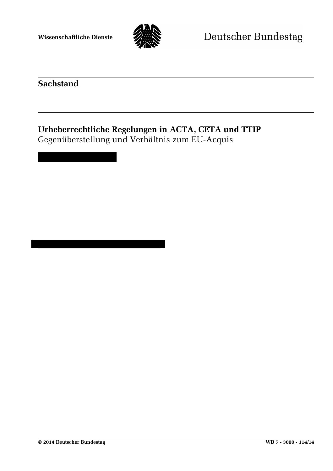

# **Sachstand**

# **Urheberrechtliche Regelungen in ACTA, CETA und TTIP** Gegenüberstellung und Verhältnis zum EU-Acquis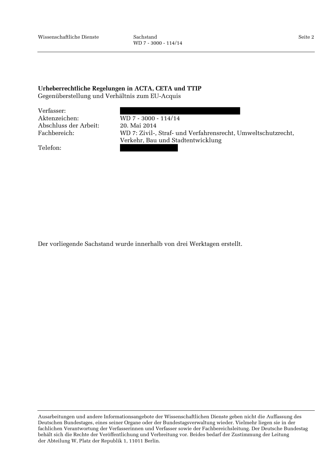Wissenschaftliche Dienste Sachstand

### **Urheberrechtliche Regelungen in ACTA, CETA und TTIP** Gegenüberstellung und Verhältnis zum EU-Acquis

Verfasser: Aktenzeichen: WD 7 - 3000 - 114/14 Abschluss der Arbeit: 20. Mai 2014

Telefon:

Fachbereich: WD 7: Zivil-, Straf- und Verfahrensrecht, Umweltschutzrecht, Verkehr, Bau und Stadtentwicklung

Der vorliegende Sachstand wurde innerhalb von drei Werktagen erstellt.

Ausarbeitungen und andere Informationsangebote der Wissenschaftlichen Dienste geben nicht die Auffassung des Deutschen Bundestages, eines seiner Organe oder der Bundestagsverwaltung wieder. Vielmehr liegen sie in der fachlichen Verantwortung der Verfasserinnen und Verfasser sowie der Fachbereichsleitung. Der Deutsche Bundestag behält sich die Rechte der Veröffentlichung und Verbreitung vor. Beides bedarf der Zustimmung der Leitung der Abteilung W, Platz der Republik 1, 11011 Berlin.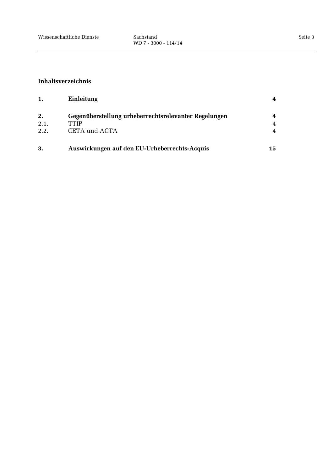## Seite 3

# **Inhaltsverzeichnis**

| 1.   | Einleitung                                           |    |
|------|------------------------------------------------------|----|
| 2.   | Gegenüberstellung urheberrechtsrelevanter Regelungen |    |
| 2.1  | TTIP                                                 |    |
| 2.2. | CETA und ACTA                                        |    |
| 3.   | Auswirkungen auf den EU-Urheberrechts-Acquis         | 15 |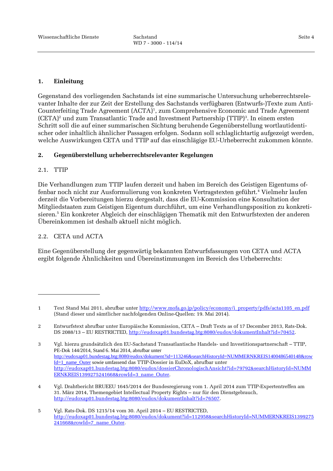### **1. Einleitung**

Gegenstand des vorliegenden Sachstands ist eine summarische Untersuchung urheberrechtsrelevanter Inhalte der zur Zeit der Erstellung des Sachstands verfügbaren (Entwurfs-)Texte zum Anti-Counterfeiting Trade Agreement (ACTA)[1](#page-3-3) , zum Comprehensive Economic and Trade Agreement (CETA)<sup>[2](#page-3-4)</sup> und zum Transatlantic Trade and Investment Partnership (TTIP)<sup>[3](#page-3-5)</sup>. In einem ersten Schritt soll die auf einer summarischen Sichtung beruhende Gegenüberstellung wortlautidentischer oder inhaltlich ähnlicher Passagen erfolgen. Sodann soll schlaglichtartig aufgezeigt werden, welche Auswirkungen CETA und TTIP auf das einschlägige EU-Urheberrecht zukommen könnte.

### <span id="page-3-0"></span>**2. Gegenüberstellung urheberrechtsrelevanter Regelungen**

#### <span id="page-3-1"></span>2.1. TTIP

Die Verhandlungen zum TTIP laufen derzeit und haben im Bereich des Geistigen Eigentums of-fenbar noch nicht zur Ausformulierung von konkreten Vertragstexten geführt.<sup>[4](#page-3-6)</sup> Vielmehr laufen derzeit die Vorbereitungen hierzu dergestalt, dass die EU-Kommission eine Konsultation der Mitgliedstaaten zum Geistigen Eigentum durchführt, um eine Verhandlungsposition zu konkretisieren.[5](#page-3-7) Ein konkreter Abgleich der einschlägigen Thematik mit den Entwurfstexten der anderen Übereinkommen ist deshalb aktuell nicht möglich.

## <span id="page-3-2"></span>2.2. CETA und ACTA

Eine Gegenüberstellung der gegenwärtig bekannten Entwurfsfassungen von CETA und ACTA ergibt folgende Ähnlichkeiten und Übereinstimmungen im Bereich des Urheberrechts:

<span id="page-3-3"></span><sup>1</sup> Text Stand Mai 2011, abrufbar unter http://www.mofa.go.jp/policy/economy/i\_property/pdfs/acta1105\_en.pdf (Stand dieser und sämtlicher nachfolgenden Online-Quellen: 19. Mai 2014).

<span id="page-3-4"></span><sup>2</sup> Entwurfstext abrufbar unter Europäische Kommission, CETA – Draft Texts as of 17 December 2013, Rats-Dok. DS 2088/13 – EU RESTRICTED, http://eudoxap01.bundestag.btg:8080/eudox/dokumentInhalt?id=70452.

<span id="page-3-5"></span><sup>3</sup> Vgl. hierzu grundsätzlich den EU-Sachstand Transatlantische Handels- und Investitionspartnerschaft – TTIP, PE-Dok 144/2014, Stand 6. Mai 2014, abrufbar unter http://eudoxap01.bundestag.btg:8080/eudox/dokument?id=113246&searchHistoryId=NUMMERNKREIS1400486540148&row Id=1\_name\_Outer sowie umfassend das TTIP-Dossier in EuDoX, abrufbar unter http://eudoxap01.bundestag.btg:8080/eudox/dossierChronologischAnsicht?id=79792&searchHistoryId=NUMM ERNKREIS1399275241668&rowId=3\_name\_Outer.

<span id="page-3-6"></span><sup>4</sup> Vgl. Drahtbericht BRUEEU 1645/2014 der Bundesregierung vom 1. April 2014 zum TTIP-Expertentreffen am 31. März 2014, Themengebiet Intellectual Property Rights – nur für den Dienstgebrauch, http://eudoxap01.bundestag.btg:8080/eudox/dokumentInhalt?id=76507.

<span id="page-3-7"></span><sup>5</sup> Vgl. Rats-Dok. DS 1215/14 vom 30. April 2014 – EU RESTRICTED, http://eudoxap01.bundestag.btg:8080/eudox/dokument?id=112958&searchHistoryId=NUMMERNKREIS1399275  $2416688$ rowId=7\_name\_Outer.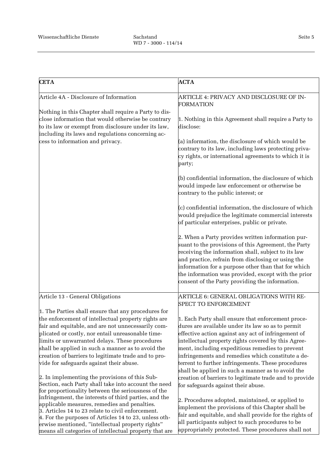| <b>CETA</b>                                                                                                                                                                                                                                                                                                                                                                                                                                                                                                                                                                                      | <b>ACTA</b>                                                                                                                                                                                                                                                                                                                                                                                                                                                                                                                                |
|--------------------------------------------------------------------------------------------------------------------------------------------------------------------------------------------------------------------------------------------------------------------------------------------------------------------------------------------------------------------------------------------------------------------------------------------------------------------------------------------------------------------------------------------------------------------------------------------------|--------------------------------------------------------------------------------------------------------------------------------------------------------------------------------------------------------------------------------------------------------------------------------------------------------------------------------------------------------------------------------------------------------------------------------------------------------------------------------------------------------------------------------------------|
| Article 4A - Disclosure of Information                                                                                                                                                                                                                                                                                                                                                                                                                                                                                                                                                           | ARTICLE 4: PRIVACY AND DISCLOSURE OF IN-<br><b>FORMATION</b>                                                                                                                                                                                                                                                                                                                                                                                                                                                                               |
| Nothing in this Chapter shall require a Party to dis-<br>close information that would otherwise be contrary<br>to its law or exempt from disclosure under its law,<br>including its laws and regulations concerning ac-<br>cess to information and privacy.                                                                                                                                                                                                                                                                                                                                      | 1. Nothing in this Agreement shall require a Party to<br>disclose:                                                                                                                                                                                                                                                                                                                                                                                                                                                                         |
|                                                                                                                                                                                                                                                                                                                                                                                                                                                                                                                                                                                                  | (a) information, the disclosure of which would be<br>contrary to its law, including laws protecting priva-<br>cy rights, or international agreements to which it is<br>party;                                                                                                                                                                                                                                                                                                                                                              |
|                                                                                                                                                                                                                                                                                                                                                                                                                                                                                                                                                                                                  | (b) confidential information, the disclosure of which<br>would impede law enforcement or otherwise be<br>contrary to the public interest; or                                                                                                                                                                                                                                                                                                                                                                                               |
|                                                                                                                                                                                                                                                                                                                                                                                                                                                                                                                                                                                                  | $(c)$ confidential information, the disclosure of which<br>would prejudice the legitimate commercial interests<br>of particular enterprises, public or private.                                                                                                                                                                                                                                                                                                                                                                            |
|                                                                                                                                                                                                                                                                                                                                                                                                                                                                                                                                                                                                  | 2. When a Party provides written information pur-<br>suant to the provisions of this Agreement, the Party<br>receiving the information shall, subject to its law<br>and practice, refrain from disclosing or using the<br>information for a purpose other than that for which<br>the information was provided, except with the prior<br>consent of the Party providing the information.                                                                                                                                                    |
| Article 13 - General Obligations                                                                                                                                                                                                                                                                                                                                                                                                                                                                                                                                                                 | ARTICLE 6: GENERAL OBLIGATIONS WITH RE-<br><b>SPECT TO ENFORCEMENT</b>                                                                                                                                                                                                                                                                                                                                                                                                                                                                     |
| 1. The Parties shall ensure that any procedures for<br>the enforcement of intellectual property rights are<br>fair and equitable, and are not unnecessarily com-<br>plicated or costly, nor entail unreasonable time-<br>limits or unwarranted delays. These procedures<br>shall be applied in such a manner as to avoid the<br>creation of barriers to legitimate trade and to pro-<br>vide for safeguards against their abuse.<br>2. In implementing the provisions of this Sub-<br>Section, each Party shall take into account the need<br>for proportionality between the seriousness of the | 1. Each Party shall ensure that enforcement proce-<br>dures are available under its law so as to permit<br>effective action against any act of infringement of<br>intellectual property rights covered by this Agree-<br>ment, including expeditious remedies to prevent<br>infringements and remedies which constitute a de-<br>terrent to further infringements. These procedures<br>shall be applied in such a manner as to avoid the<br>creation of barriers to legitimate trade and to provide<br>for safeguards against their abuse. |
| infringement, the interests of third parties, and the<br>applicable measures, remedies and penalties.<br>3. Articles 14 to 23 relate to civil enforcement.<br>4. For the purposes of Articles 14 to 23, unless oth-<br>erwise mentioned, "intellectual property rights"<br>means all categories of intellectual property that are                                                                                                                                                                                                                                                                | 2. Procedures adopted, maintained, or applied to<br>implement the provisions of this Chapter shall be<br>fair and equitable, and shall provide for the rights of<br>all participants subject to such procedures to be<br>appropriately protected. These procedures shall not                                                                                                                                                                                                                                                               |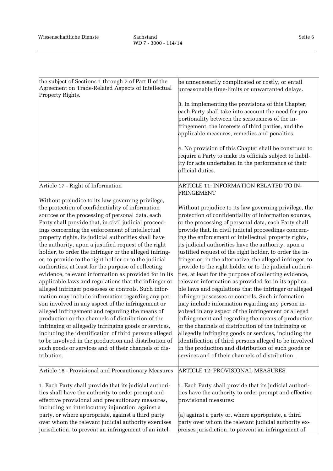| the subject of Sections 1 through 7 of Part II of the<br>Agreement on Trade-Related Aspects of Intellectual<br>Property Rights.                                                                                                                                                                                                                                                                                                                                                                                                                                                                                                                                                                                                                                                                                                                                                                                                                                                                                                                                                                                                                                                                            | be unnecessarily complicated or costly, or entail<br>unreasonable time-limits or unwarranted delays.                                                                                                                                                                                                                                                                                                                                                                                                                                                                                                                                                                                                                                                                                                                                                                                                                                                                                                                                                                                                                                                                                                                    |
|------------------------------------------------------------------------------------------------------------------------------------------------------------------------------------------------------------------------------------------------------------------------------------------------------------------------------------------------------------------------------------------------------------------------------------------------------------------------------------------------------------------------------------------------------------------------------------------------------------------------------------------------------------------------------------------------------------------------------------------------------------------------------------------------------------------------------------------------------------------------------------------------------------------------------------------------------------------------------------------------------------------------------------------------------------------------------------------------------------------------------------------------------------------------------------------------------------|-------------------------------------------------------------------------------------------------------------------------------------------------------------------------------------------------------------------------------------------------------------------------------------------------------------------------------------------------------------------------------------------------------------------------------------------------------------------------------------------------------------------------------------------------------------------------------------------------------------------------------------------------------------------------------------------------------------------------------------------------------------------------------------------------------------------------------------------------------------------------------------------------------------------------------------------------------------------------------------------------------------------------------------------------------------------------------------------------------------------------------------------------------------------------------------------------------------------------|
|                                                                                                                                                                                                                                                                                                                                                                                                                                                                                                                                                                                                                                                                                                                                                                                                                                                                                                                                                                                                                                                                                                                                                                                                            | 3. In implementing the provisions of this Chapter,<br>each Party shall take into account the need for pro-<br>portionality between the seriousness of the in-<br>fringement, the interests of third parties, and the<br>applicable measures, remedies and penalties.                                                                                                                                                                                                                                                                                                                                                                                                                                                                                                                                                                                                                                                                                                                                                                                                                                                                                                                                                    |
|                                                                                                                                                                                                                                                                                                                                                                                                                                                                                                                                                                                                                                                                                                                                                                                                                                                                                                                                                                                                                                                                                                                                                                                                            | 4. No provision of this Chapter shall be construed to<br>require a Party to make its officials subject to liabil-<br>ity for acts undertaken in the performance of their<br>official duties.                                                                                                                                                                                                                                                                                                                                                                                                                                                                                                                                                                                                                                                                                                                                                                                                                                                                                                                                                                                                                            |
| Article 17 - Right of Information                                                                                                                                                                                                                                                                                                                                                                                                                                                                                                                                                                                                                                                                                                                                                                                                                                                                                                                                                                                                                                                                                                                                                                          | ARTICLE 11: INFORMATION RELATED TO IN-<br>FRINGEMENT                                                                                                                                                                                                                                                                                                                                                                                                                                                                                                                                                                                                                                                                                                                                                                                                                                                                                                                                                                                                                                                                                                                                                                    |
| Without prejudice to its law governing privilege,<br>the protection of confidentiality of information<br>sources or the processing of personal data, each<br>Party shall provide that, in civil judicial proceed-<br>ings concerning the enforcement of intellectual<br>property rights, its judicial authorities shall have<br>the authority, upon a justified request of the right<br>holder, to order the infringer or the alleged infring-<br>er, to provide to the right holder or to the judicial<br>authorities, at least for the purpose of collecting<br>evidence, relevant information as provided for in its<br>applicable laws and regulations that the infringer or<br>alleged infringer possesses or controls. Such infor-<br>mation may include information regarding any per-<br>son involved in any aspect of the infringement or<br>alleged infringement and regarding the means of<br>production or the channels of distribution of the<br>infringing or allegedly infringing goods or services,<br>including the identification of third persons alleged<br>to be involved in the production and distribution of<br>such goods or services and of their channels of dis-<br>tribution. | Without prejudice to its law governing privilege, the<br>protection of confidentiality of information sources,<br>or the processing of personal data, each Party shall<br>provide that, in civil judicial proceedings concern-<br>ing the enforcement of intellectual property rights,<br>its judicial authorities have the authority, upon a<br>justified request of the right holder, to order the in-<br>fringer or, in the alternative, the alleged infringer, to<br>provide to the right holder or to the judicial authori-<br>ties, at least for the purpose of collecting evidence,<br>relevant information as provided for in its applica-<br>ble laws and regulations that the infringer or alleged<br>infringer possesses or controls. Such information<br>may include information regarding any person in-<br>volved in any aspect of the infringement or alleged<br>infringement and regarding the means of production<br>or the channels of distribution of the infringing or<br>allegedly infringing goods or services, including the<br>identification of third persons alleged to be involved<br>in the production and distribution of such goods or<br>services and of their channels of distribution. |
| Article 18 - Provisional and Precautionary Measures                                                                                                                                                                                                                                                                                                                                                                                                                                                                                                                                                                                                                                                                                                                                                                                                                                                                                                                                                                                                                                                                                                                                                        | ARTICLE 12: PROVISIONAL MEASURES                                                                                                                                                                                                                                                                                                                                                                                                                                                                                                                                                                                                                                                                                                                                                                                                                                                                                                                                                                                                                                                                                                                                                                                        |
| 1. Each Party shall provide that its judicial authori-<br>ties shall have the authority to order prompt and<br>effective provisional and precautionary measures,<br>including an interlocutory injunction, against a<br>party, or where appropriate, against a third party                                                                                                                                                                                                                                                                                                                                                                                                                                                                                                                                                                                                                                                                                                                                                                                                                                                                                                                                 | 1. Each Party shall provide that its judicial authori-<br>ties have the authority to order prompt and effective<br>provisional measures:                                                                                                                                                                                                                                                                                                                                                                                                                                                                                                                                                                                                                                                                                                                                                                                                                                                                                                                                                                                                                                                                                |
| over whom the relevant judicial authority exercises<br>jurisdiction, to prevent an infringement of an intel-                                                                                                                                                                                                                                                                                                                                                                                                                                                                                                                                                                                                                                                                                                                                                                                                                                                                                                                                                                                                                                                                                               | (a) against a party or, where appropriate, a third<br>party over whom the relevant judicial authority ex-<br>ercises jurisdiction, to prevent an infringement of                                                                                                                                                                                                                                                                                                                                                                                                                                                                                                                                                                                                                                                                                                                                                                                                                                                                                                                                                                                                                                                        |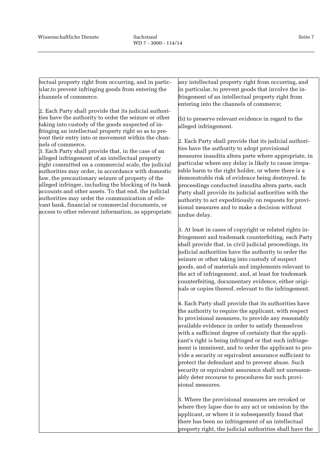lectual property right from occurring, and in particular,to prevent infringing goods from entering the channels of commerce.

2. Each Party shall provide that its judicial authorities have the authority to order the seizure or other taking into custody of the goods suspected of infringing an intellectual property right so as to prevent their entry into or movement within the channels of commerce.

3. Each Party shall provide that, in the case of an alleged infringement of an intellectual property right committed on a commercial scale, the judicial authorities may order, in accordance with domestic law, the precautionary seizure of property of the alleged infringer, including the blocking of its bank accounts and other assets. To that end, the judicial authorities may order the communication of relevant bank, financial or commercial documents, or access to other relevant information, as appropriate. any intellectual property right from occurring, and in particular, to prevent goods that involve the infringement of an intellectual property right from entering into the channels of commerce;

(b) to preserve relevant evidence in regard to the alleged infringement.

2. Each Party shall provide that its judicial authorities have the authority to adopt provisional measures inaudita altera parte where appropriate, in particular where any delay is likely to cause irreparable harm to the right holder, or where there is a demonstrable risk of evidence being destroyed. In proceedings conducted inaudita altera parte, each Party shall provide its judicial authorities with the authority to act expeditiously on requests for provisional measures and to make a decision without undue delay.

3. At least in cases of copyright or related rights infringement and trademark counterfeiting, each Party shall provide that, in civil judicial proceedings, its judicial authorities have the authority to order the seizure or other taking into custody of suspect goods, and of materials and implements relevant to the act of infringement, and, at least for trademark counterfeiting, documentary evidence, either originals or copies thereof, relevant to the infringement.

4. Each Party shall provide that its authorities have the authority to require the applicant, with respect to provisional measures, to provide any reasonably available evidence in order to satisfy themselves with a sufficient degree of certainty that the applicant's right is being infringed or that such infringement is imminent, and to order the applicant to provide a security or equivalent assurance sufficient to protect the defendant and to prevent abuse. Such security or equivalent assurance shall not unreasonably deter recourse to procedures for such provisional measures.

5. Where the provisional measures are revoked or where they lapse due to any act or omission by the applicant, or where it is subsequently found that there has been no infringement of an intellectual property right, the judicial authorities shall have the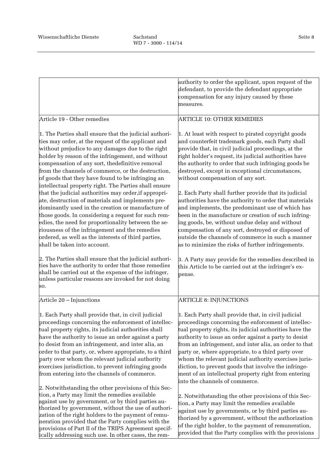|                                                                                                                                                                                                                                                                                                                                                                                                                                                                                                                                                                                                                                                                                                                                                                                                                                                                                                                                                                                            | authority to order the applicant, upon request of the<br>defendant, to provide the defendant appropriate<br>compensation for any injury caused by these<br>measures.                                                                                                                                                                                                                                                                                                                                                                                                                                                                                                                                                                                                                                                                                                                                                                        |
|--------------------------------------------------------------------------------------------------------------------------------------------------------------------------------------------------------------------------------------------------------------------------------------------------------------------------------------------------------------------------------------------------------------------------------------------------------------------------------------------------------------------------------------------------------------------------------------------------------------------------------------------------------------------------------------------------------------------------------------------------------------------------------------------------------------------------------------------------------------------------------------------------------------------------------------------------------------------------------------------|---------------------------------------------------------------------------------------------------------------------------------------------------------------------------------------------------------------------------------------------------------------------------------------------------------------------------------------------------------------------------------------------------------------------------------------------------------------------------------------------------------------------------------------------------------------------------------------------------------------------------------------------------------------------------------------------------------------------------------------------------------------------------------------------------------------------------------------------------------------------------------------------------------------------------------------------|
| Article 19 - Other remedies                                                                                                                                                                                                                                                                                                                                                                                                                                                                                                                                                                                                                                                                                                                                                                                                                                                                                                                                                                | <b>ARTICLE 10: OTHER REMEDIES</b>                                                                                                                                                                                                                                                                                                                                                                                                                                                                                                                                                                                                                                                                                                                                                                                                                                                                                                           |
| 1. The Parties shall ensure that the judicial authori-<br>ties may order, at the request of the applicant and<br>without prejudice to any damages due to the right<br>holder by reason of the infringement, and without<br>compensation of any sort, thedefinitive removal<br>from the channels of commerce, or the destruction,<br>of goods that they have found to be infringing an<br>intellectual property right. The Parties shall ensure<br>that the judicial authorities may order, if appropri-<br>ate, destruction of materials and implements pre-<br>dominantly used in the creation or manufacture of<br>those goods. In considering a request for such rem-<br>edies, the need for proportionality between the se-<br>riousness of the infringement and the remedies<br>ordered, as well as the interests of third parties,<br>shall be taken into account.<br>2. The Parties shall ensure that the judicial authori-<br>ties have the authority to order that those remedies | 1. At least with respect to pirated copyright goods<br>and counterfeit trademark goods, each Party shall<br>provide that, in civil judicial proceedings, at the<br>right holder's request, its judicial authorities have<br>the authority to order that such infringing goods be<br>destroyed, except in exceptional circumstances,<br>without compensation of any sort.<br>2. Each Party shall further provide that its judicial<br>authorities have the authority to order that materials<br>and implements, the predominant use of which has<br>been in the manufacture or creation of such infring-<br>ing goods, be, without undue delay and without<br>compensation of any sort, destroyed or disposed of<br>outside the channels of commerce in such a manner<br>as to minimize the risks of further infringements.<br>3. A Party may provide for the remedies described in<br>this Article to be carried out at the infringer's ex- |
| shall be carried out at the expense of the infringer,<br>unless particular reasons are invoked for not doing<br>SO.                                                                                                                                                                                                                                                                                                                                                                                                                                                                                                                                                                                                                                                                                                                                                                                                                                                                        | pense.                                                                                                                                                                                                                                                                                                                                                                                                                                                                                                                                                                                                                                                                                                                                                                                                                                                                                                                                      |
| Article 20 – Injunctions                                                                                                                                                                                                                                                                                                                                                                                                                                                                                                                                                                                                                                                                                                                                                                                                                                                                                                                                                                   | ARTICLE 8: INJUNCTIONS                                                                                                                                                                                                                                                                                                                                                                                                                                                                                                                                                                                                                                                                                                                                                                                                                                                                                                                      |
| 1. Each Party shall provide that, in civil judicial<br>proceedings concerning the enforcement of intellec-<br>tual property rights, its judicial authorities shall<br>have the authority to issue an order against a party<br>to desist from an infringement, and inter alia, an<br>order to that party, or, where appropriate, to a third<br>party over whom the relevant judicial authority<br>exercises jurisdiction, to prevent infringing goods<br>from entering into the channels of commerce.<br>2. Notwithstanding the other provisions of this Sec-                                                                                                                                                                                                                                                                                                                                                                                                                               | 1. Each Party shall provide that, in civil judicial<br>proceedings concerning the enforcement of intellec-<br>tual property rights, its judicial authorities have the<br>authority to issue an order against a party to desist<br>from an infringement, and inter alia, an order to that<br>party or, where appropriate, to a third party over<br>whom the relevant judicial authority exercises juris-<br>diction, to prevent goods that involve the infringe-<br>ment of an intellectual property right from entering<br>into the channels of commerce.                                                                                                                                                                                                                                                                                                                                                                                   |
| tion, a Party may limit the remedies available<br>against use by government, or by third parties au-<br>thorized by government, without the use of authori-<br>zation of the right holders to the payment of remu-<br>neration provided that the Party complies with the<br>provisions of Part II of the TRIPS Agreement specif-<br>ically addressing such use. In other cases, the rem-                                                                                                                                                                                                                                                                                                                                                                                                                                                                                                                                                                                                   | 2. Notwithstanding the other provisions of this Sec-<br>tion, a Party may limit the remedies available<br>against use by governments, or by third parties au-<br>thorized by a government, without the authorization<br>of the right holder, to the payment of remuneration,<br>provided that the Party complies with the provisions                                                                                                                                                                                                                                                                                                                                                                                                                                                                                                                                                                                                        |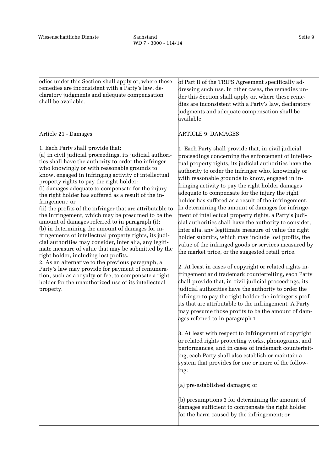| edies under this Section shall apply or, where these<br>remedies are inconsistent with a Party's law, de-<br>claratory judgments and adequate compensation<br>shall be available.                                                                                                                                                                                                                                                                                                                                                                                                                                                                                                                                                                                                                                                                                                                                                                                                                                                                                                                                          | of Part II of the TRIPS Agreement specifically ad-<br>dressing such use. In other cases, the remedies un-<br>der this Section shall apply or, where these reme-<br>dies are inconsistent with a Party's law, declaratory<br>judgments and adequate compensation shall be<br>available.                                                                                                                                                                                                                                                                                                                                                                                                                                                                                                                                                                                                                                                                                                                                                                                                                                                                                                                                                                                                                                                                                                                                                                                                                                                                                                                                                                                                     |
|----------------------------------------------------------------------------------------------------------------------------------------------------------------------------------------------------------------------------------------------------------------------------------------------------------------------------------------------------------------------------------------------------------------------------------------------------------------------------------------------------------------------------------------------------------------------------------------------------------------------------------------------------------------------------------------------------------------------------------------------------------------------------------------------------------------------------------------------------------------------------------------------------------------------------------------------------------------------------------------------------------------------------------------------------------------------------------------------------------------------------|--------------------------------------------------------------------------------------------------------------------------------------------------------------------------------------------------------------------------------------------------------------------------------------------------------------------------------------------------------------------------------------------------------------------------------------------------------------------------------------------------------------------------------------------------------------------------------------------------------------------------------------------------------------------------------------------------------------------------------------------------------------------------------------------------------------------------------------------------------------------------------------------------------------------------------------------------------------------------------------------------------------------------------------------------------------------------------------------------------------------------------------------------------------------------------------------------------------------------------------------------------------------------------------------------------------------------------------------------------------------------------------------------------------------------------------------------------------------------------------------------------------------------------------------------------------------------------------------------------------------------------------------------------------------------------------------|
| Article 21 - Damages                                                                                                                                                                                                                                                                                                                                                                                                                                                                                                                                                                                                                                                                                                                                                                                                                                                                                                                                                                                                                                                                                                       | <b>ARTICLE 9: DAMAGES</b>                                                                                                                                                                                                                                                                                                                                                                                                                                                                                                                                                                                                                                                                                                                                                                                                                                                                                                                                                                                                                                                                                                                                                                                                                                                                                                                                                                                                                                                                                                                                                                                                                                                                  |
| 1. Each Party shall provide that:<br>(a) in civil judicial proceedings, its judicial authori-<br>ties shall have the authority to order the infringer<br>who knowingly or with reasonable grounds to<br>know, engaged in infringing activity of intellectual<br>property rights to pay the right holder:<br>(i) damages adequate to compensate for the injury<br>the right holder has suffered as a result of the in-<br>fringement; or<br>(ii) the profits of the infringer that are attributable to<br>the infringement, which may be presumed to be the<br>amount of damages referred to in paragraph (i);<br>(b) in determining the amount of damages for in-<br>fringements of intellectual property rights, its judi-<br>cial authorities may consider, inter alia, any legiti-<br>mate measure of value that may be submitted by the<br>right holder, including lost profits.<br>2. As an alternative to the previous paragraph, a<br>Party's law may provide for payment of remunera-<br>tion, such as a royalty or fee, to compensate a right<br>holder for the unauthorized use of its intellectual<br>property. | 1. Each Party shall provide that, in civil judicial<br>proceedings concerning the enforcement of intellec-<br>tual property rights, its judicial authorities have the<br>authority to order the infringer who, knowingly or<br>with reasonable grounds to know, engaged in in-<br>fringing activity to pay the right holder damages<br>adequate to compensate for the injury the right<br>holder has suffered as a result of the infringement.<br>In determining the amount of damages for infringe-<br>ment of intellectual property rights, a Party's judi-<br>cial authorities shall have the authority to consider,<br>inter alia, any legitimate measure of value the right<br>holder submits, which may include lost profits, the<br>value of the infringed goods or services measured by<br>the market price, or the suggested retail price.<br>2. At least in cases of copyright or related rights in-<br>fringement and trademark counterfeiting, each Party<br>shall provide that, in civil judicial proceedings, its<br>judicial authorities have the authority to order the<br>infringer to pay the right holder the infringer's prof-<br>its that are attributable to the infringement. A Party<br>may presume those profits to be the amount of dam-<br>ages referred to in paragraph 1.<br>3. At least with respect to infringement of copyright<br>or related rights protecting works, phonograms, and<br>performances, and in cases of trademark counterfeit-<br>ing, each Party shall also establish or maintain a<br>system that provides for one or more of the follow-<br>ing:<br>(a) pre-established damages; or<br>(b) presumptions 3 for determining the amount of |
|                                                                                                                                                                                                                                                                                                                                                                                                                                                                                                                                                                                                                                                                                                                                                                                                                                                                                                                                                                                                                                                                                                                            | damages sufficient to compensate the right holder<br>for the harm caused by the infringement; or                                                                                                                                                                                                                                                                                                                                                                                                                                                                                                                                                                                                                                                                                                                                                                                                                                                                                                                                                                                                                                                                                                                                                                                                                                                                                                                                                                                                                                                                                                                                                                                           |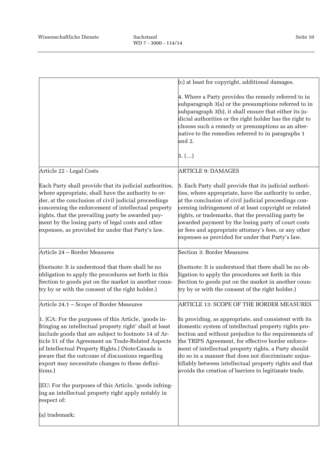|                                                                                                                                                                                                                                                                                                                                                                                                     | (c) at least for copyright, additional damages.                                                                                                                                                                                                                                                                                                                                                                                                                   |
|-----------------------------------------------------------------------------------------------------------------------------------------------------------------------------------------------------------------------------------------------------------------------------------------------------------------------------------------------------------------------------------------------------|-------------------------------------------------------------------------------------------------------------------------------------------------------------------------------------------------------------------------------------------------------------------------------------------------------------------------------------------------------------------------------------------------------------------------------------------------------------------|
|                                                                                                                                                                                                                                                                                                                                                                                                     | 4. Where a Party provides the remedy referred to in<br>subparagraph 3(a) or the presumptions referred to in<br>subparagraph 3(b), it shall ensure that either its ju-<br>dicial authorities or the right holder has the right to<br>choose such a remedy or presumptions as an alter-<br>native to the remedies referred to in paragraphs 1<br>and 2.<br>$5. \, (\ldots)$                                                                                         |
| Article 22 - Legal Costs                                                                                                                                                                                                                                                                                                                                                                            | <b>ARTICLE 9: DAMAGES</b>                                                                                                                                                                                                                                                                                                                                                                                                                                         |
| Each Party shall provide that its judicial authorities,<br>where appropriate, shall have the authority to or-<br>der, at the conclusion of civil judicial proceedings<br>concerning the enforcement of intellectual property<br>rights, that the prevailing party be awarded pay-<br>ment by the losing party of legal costs and other<br>expenses, as provided for under that Party's law.         | 5. Each Party shall provide that its judicial authori-<br>ties, where appropriate, have the authority to order,<br>at the conclusion of civil judicial proceedings con-<br>cerning infringement of at least copyright or related<br>rights, or trademarks, that the prevailing party be<br>awarded payment by the losing party of court costs<br>or fees and appropriate attorney's fees, or any other<br>expenses as provided for under that Party's law.        |
| Article 24 - Border Measures                                                                                                                                                                                                                                                                                                                                                                        | Section 3: Border Measures                                                                                                                                                                                                                                                                                                                                                                                                                                        |
| (footnote: It is understood that there shall be no<br>obligation to apply the procedures set forth in this<br>Section to goods put on the market in another coun-<br>try by or with the consent of the right holder.)                                                                                                                                                                               | (footnote: It is understood that there shall be no ob-<br>ligation to apply the procedures set forth in this<br>Section to goods put on the market in another coun-<br>try by or with the consent of the right holder.)                                                                                                                                                                                                                                           |
| Article 24.1 - Scope of Border Measures                                                                                                                                                                                                                                                                                                                                                             | ARTICLE 13: SCOPE OF THE BORDER MEASURES                                                                                                                                                                                                                                                                                                                                                                                                                          |
| 1. [CA: For the purposes of this Article, 'goods in-<br>fringing an intellectual property right' shall at least<br>include goods that are subject to footnote 14 of Ar-<br>ticle 51 of the Agreement on Trade-Related Aspects<br>of Intellectual Property Rights.] (Note:Canada is<br>aware that the outcome of discussions regarding<br>export may necessitate changes to these defini-<br>tions.) | In providing, as appropriate, and consistent with its $\;$<br>domestic system of intellectual property rights pro-<br>tection and without prejudice to the requirements of<br>the TRIPS Agreement, for effective border enforce-<br>ment of intellectual property rights, a Party should<br>do so in a manner that does not discriminate unjus-<br>tifiably between intellectual property rights and that<br>avoids the creation of barriers to legitimate trade. |
| [EU: For the purposes of this Article, 'goods infring-<br>ing an intellectual property right apply notably in<br>respect of:                                                                                                                                                                                                                                                                        |                                                                                                                                                                                                                                                                                                                                                                                                                                                                   |
| (a) trademark;                                                                                                                                                                                                                                                                                                                                                                                      |                                                                                                                                                                                                                                                                                                                                                                                                                                                                   |
|                                                                                                                                                                                                                                                                                                                                                                                                     |                                                                                                                                                                                                                                                                                                                                                                                                                                                                   |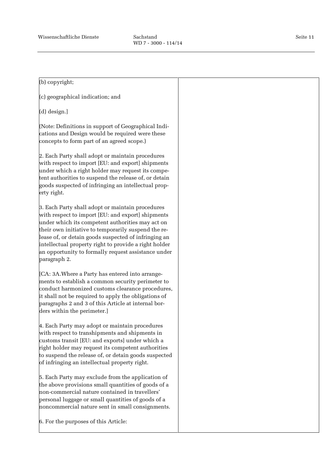#### (b) copyright;

(c) geographical indication; and

(d) design.]

(Note: Definitions in support of Geographical Indications and Design would be required were these concepts to form part of an agreed scope.)

2. Each Party shall adopt or maintain procedures with respect to import [EU: and export] shipments under which a right holder may request its competent authorities to suspend the release of, or detain goods suspected of infringing an intellectual property right.

3. Each Party shall adopt or maintain procedures with respect to import [EU: and export] shipments under which its competent authorities may act on their own initiative to temporarily suspend the release of, or detain goods suspected of infringing an intellectual property right to provide a right holder an opportunity to formally request assistance under paragraph 2.

[CA: 3A.Where a Party has entered into arrangements to establish a common security perimeter to conduct harmonized customs clearance procedures, it shall not be required to apply the obligations of paragraphs 2 and 3 of this Article at internal borders within the perimeter.]

4. Each Party may adopt or maintain procedures with respect to transhipments and shipments in customs transit [EU: and exports] under which a right holder may request its competent authorities to suspend the release of, or detain goods suspected of infringing an intellectual property right.

5. Each Party may exclude from the application of the above provisions small quantities of goods of a non-commercial nature contained in travellers' personal luggage or small quantities of goods of a noncommercial nature sent in small consignments.

6. For the purposes of this Article: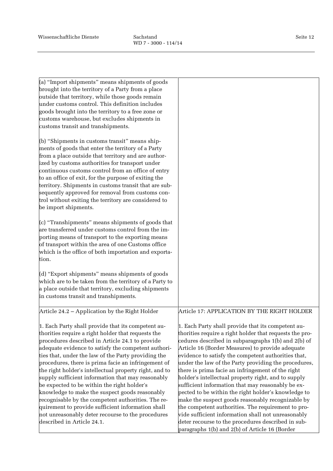| (a) "Import shipments" means shipments of goods<br>brought into the territory of a Party from a place<br>outside that territory, while those goods remain<br>under customs control. This definition includes<br>goods brought into the territory to a free zone or<br>customs warehouse, but excludes shipments in<br>customs transit and transhipments.                                                                                                                                                                                                                                                                                                                                                                                       |                                                                                                                                                                                                                                                                                                                                                                                                                                                                                                                                                                                                                                                                                                                                                                                                                                          |
|------------------------------------------------------------------------------------------------------------------------------------------------------------------------------------------------------------------------------------------------------------------------------------------------------------------------------------------------------------------------------------------------------------------------------------------------------------------------------------------------------------------------------------------------------------------------------------------------------------------------------------------------------------------------------------------------------------------------------------------------|------------------------------------------------------------------------------------------------------------------------------------------------------------------------------------------------------------------------------------------------------------------------------------------------------------------------------------------------------------------------------------------------------------------------------------------------------------------------------------------------------------------------------------------------------------------------------------------------------------------------------------------------------------------------------------------------------------------------------------------------------------------------------------------------------------------------------------------|
| (b) "Shipments in customs transit" means ship-<br>ments of goods that enter the territory of a Party<br>from a place outside that territory and are author-<br>ized by customs authorities for transport under<br>continuous customs control from an office of entry<br>to an office of exit, for the purpose of exiting the<br>territory. Shipments in customs transit that are sub-<br>sequently approved for removal from customs con-<br>trol without exiting the territory are considered to<br>be import shipments.                                                                                                                                                                                                                      |                                                                                                                                                                                                                                                                                                                                                                                                                                                                                                                                                                                                                                                                                                                                                                                                                                          |
| $(c)$ "Transhipments" means shipments of goods that<br>are transferred under customs control from the im-<br>porting means of transport to the exporting means<br>of transport within the area of one Customs office<br>which is the office of both importation and exporta-<br>tion.                                                                                                                                                                                                                                                                                                                                                                                                                                                          |                                                                                                                                                                                                                                                                                                                                                                                                                                                                                                                                                                                                                                                                                                                                                                                                                                          |
| (d) "Export shipments" means shipments of goods<br>which are to be taken from the territory of a Party to<br>a place outside that territory, excluding shipments<br>in customs transit and transhipments.                                                                                                                                                                                                                                                                                                                                                                                                                                                                                                                                      |                                                                                                                                                                                                                                                                                                                                                                                                                                                                                                                                                                                                                                                                                                                                                                                                                                          |
| Article 24.2 – Application by the Right Holder                                                                                                                                                                                                                                                                                                                                                                                                                                                                                                                                                                                                                                                                                                 | Article 17: APPLICATION BY THE RIGHT HOLDER                                                                                                                                                                                                                                                                                                                                                                                                                                                                                                                                                                                                                                                                                                                                                                                              |
| 1. Each Party shall provide that its competent au-<br>thorities require a right holder that requests the<br>procedures described in Article 24.1 to provide<br>adequate evidence to satisfy the competent authori-<br>ties that, under the law of the Party providing the<br>procedures, there is prima facie an infringement of<br>the right holder's intellectual property right, and to<br>supply sufficient information that may reasonably<br>be expected to be within the right holder's<br>knowledge to make the suspect goods reasonably<br>recognisable by the competent authorities. The re-<br>quirement to provide sufficient information shall<br>not unreasonably deter recourse to the procedures<br>described in Article 24.1. | 1. Each Party shall provide that its competent au-<br>thorities require a right holder that requests the pro-<br>cedures described in subparagraphs 1(b) and 2(b) of<br>Article 16 (Border Measures) to provide adequate<br>evidence to satisfy the competent authorities that,<br>under the law of the Party providing the procedures,<br>there is prima facie an infringement of the right<br>holder's intellectual property right, and to supply<br>sufficient information that may reasonably be ex-<br>pected to be within the right holder's knowledge to<br>make the suspect goods reasonably recognizable by<br>the competent authorities. The requirement to pro-<br>vide sufficient information shall not unreasonably<br>deter recourse to the procedures described in sub-<br>paragraphs 1(b) and 2(b) of Article 16 (Border |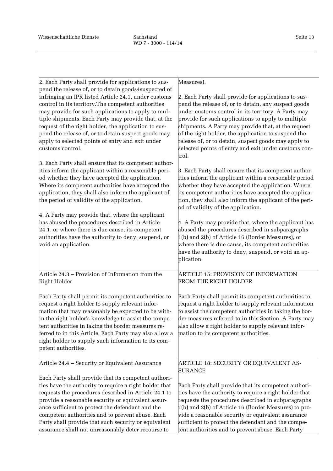| Measures).                                                                                                                                                                                                                                                                                                                                                                                                                                                       |
|------------------------------------------------------------------------------------------------------------------------------------------------------------------------------------------------------------------------------------------------------------------------------------------------------------------------------------------------------------------------------------------------------------------------------------------------------------------|
| 2. Each Party shall provide for applications to sus-<br>pend the release of, or to detain, any suspect goods<br>under customs control in its territory. A Party may<br>provide for such applications to apply to multiple<br>shipments. A Party may provide that, at the request<br>of the right holder, the application to suspend the<br>release of, or to detain, suspect goods may apply to<br>selected points of entry and exit under customs con-<br>trol. |
| 3. Each Party shall ensure that its competent author-<br>ities inform the applicant within a reasonable period<br>whether they have accepted the application. Where<br>its competent authorities have accepted the applica-<br>tion, they shall also inform the applicant of the peri-<br>od of validity of the application.                                                                                                                                     |
| 4. A Party may provide that, where the applicant has<br>abused the procedures described in subparagraphs<br>1(b) and 2(b) of Article 16 (Border Measures), or<br>where there is due cause, its competent authorities<br>have the authority to deny, suspend, or void an ap-<br>plication.                                                                                                                                                                        |
| ARTICLE 15: PROVISION OF INFORMATION<br>FROM THE RIGHT HOLDER                                                                                                                                                                                                                                                                                                                                                                                                    |
| Each Party shall permit its competent authorities to<br>request a right holder to supply relevant information<br>to assist the competent authorities in taking the bor-<br>der measures referred to in this Section. A Party may<br>also allow a right holder to supply relevant infor-<br>mation to its competent authorities.                                                                                                                                  |
| ARTICLE 18: SECURITY OR EQUIVALENT AS-<br><b>SURANCE</b>                                                                                                                                                                                                                                                                                                                                                                                                         |
| Each Party shall provide that its competent authori-<br>ties have the authority to require a right holder that<br>requests the procedures described in subparagraphs<br>1(b) and 2(b) of Article 16 (Border Measures) to pro-<br>vide a reasonable security or equivalent assurance<br>sufficient to protect the defendant and the compe-<br>tent authorities and to prevent abuse. Each Party                                                                   |
|                                                                                                                                                                                                                                                                                                                                                                                                                                                                  |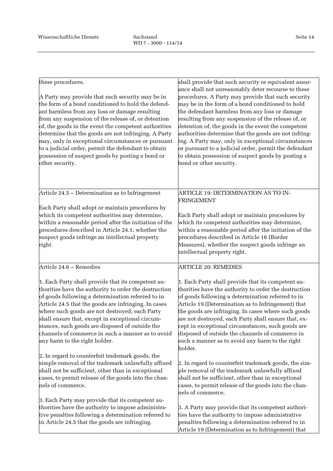| these procedures.                                                                                      | shall provide that such security or equivalent assur-<br>ance shall not unreasonably deter recourse to these |
|--------------------------------------------------------------------------------------------------------|--------------------------------------------------------------------------------------------------------------|
| A Party may provide that such security may be in<br>the form of a bond conditioned to hold the defend- | procedures. A Party may provide that such security<br>may be in the form of a bond conditioned to hold       |
| ant harmless from any loss or damage resulting<br>from any suspension of the release of, or detention  | the defendant harmless from any loss or damage<br>resulting from any suspension of the release of, or        |
| of, the goods in the event the competent authorities                                                   | detention of, the goods in the event the competent                                                           |
| determine that the goods are not infringing. A Party                                                   | authorities determine that the goods are not infring-                                                        |
| may, only in exceptional circumstances or pursuant                                                     | ing. A Party may, only in exceptional circumstances                                                          |
| to a judicial order, permit the defendant to obtain                                                    | or pursuant to a judicial order, permit the defendant                                                        |
| possession of suspect goods by posting a bond or                                                       | to obtain possession of suspect goods by posting a                                                           |
| other security.                                                                                        | bond or other security.                                                                                      |
|                                                                                                        |                                                                                                              |
| Article 24.5 – Determination as to Infringement                                                        | ARTICLE 19: DETERMINATION AS TO IN-                                                                          |
|                                                                                                        | FRINGEMENT                                                                                                   |
| Each Party shall adopt or maintain procedures by<br>which its competent authorities may determine,     | Each Party shall adopt or maintain procedures by                                                             |
| within a reasonable period after the initiation of the                                                 | which its competent authorities may determine,                                                               |
| procedures described in Article 24.1, whether the                                                      | within a reasonable period after the initiation of the                                                       |
| suspect goods infringe an intellectual property                                                        | procedures described in Article 16 (Border                                                                   |
| right.                                                                                                 | Measures), whether the suspect goods infringe an                                                             |
|                                                                                                        | intellectual property right.                                                                                 |
| Article 24.6 - Remedies                                                                                | <b>ARTICLE 20: REMEDIES</b>                                                                                  |
| 1. Each Party shall provide that its competent au-                                                     | 1. Each Party shall provide that its competent au-                                                           |
| thorities have the authority to order the destruction                                                  | thorities have the authority to order the destruction                                                        |
| of goods following a determination referred to in                                                      | of goods following a determination referred to in                                                            |
| Article 24.5 that the goods are infringing. In cases                                                   | Article 19 (Determination as to Infringement) that                                                           |
| where such goods are not destroyed, each Party<br>shall ensure that, except in exceptional circum-     | the goods are infringing. In cases where such goods<br>are not destroyed, each Party shall ensure that, ex-  |
| stances, such goods are disposed of outside the                                                        | cept in exceptional circumstances, such goods are                                                            |
| channels of commerce in such a manner as to avoid                                                      | disposed of outside the channels of commerce in                                                              |
| any harm to the right holder.                                                                          | such a manner as to avoid any harm to the right                                                              |
|                                                                                                        | holder.                                                                                                      |
| 2. In regard to counterfeit trademark goods, the                                                       |                                                                                                              |
| simple removal of the trademark unlawfully affixed                                                     | 2. In regard to counterfeit trademark goods, the sim-                                                        |
| shall not be sufficient, other than in exceptional                                                     | ple removal of the trademark unlawfully affixed                                                              |
| cases, to permit release of the goods into the chan-                                                   | shall not be sufficient, other than in exceptional                                                           |
| nels of commerce.                                                                                      | cases, to permit release of the goods into the chan-<br>nels of commerce.                                    |
| 3. Each Party may provide that its competent au-                                                       |                                                                                                              |
| thorities have the authority to impose administra-                                                     | 3. A Party may provide that its competent authori-                                                           |
| tive penalties following a determination referred to                                                   | ties have the authority to impose administrative                                                             |
| in Article 24.5 that the goods are infringing.                                                         | penalties following a determination referred to in                                                           |
|                                                                                                        | Article 19 (Determination as to Infringement) that                                                           |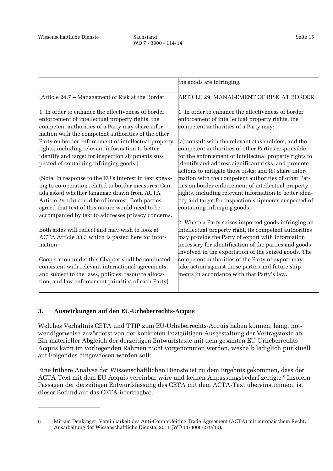|                                                                                                                                                                                                                                                                                                                              | the goods are infringing.                                                                                                                                                                                                                                                           |
|------------------------------------------------------------------------------------------------------------------------------------------------------------------------------------------------------------------------------------------------------------------------------------------------------------------------------|-------------------------------------------------------------------------------------------------------------------------------------------------------------------------------------------------------------------------------------------------------------------------------------|
| [Article 24.7 – Management of Risk at the Border                                                                                                                                                                                                                                                                             | ARTICLE 29: MANAGEMENT OF RISK AT BORDER                                                                                                                                                                                                                                            |
| 1. In order to enhance the effectiveness of border<br>enforcement of intellectual property rights, the<br>competent authorities of a Party may share infor-<br>mation with the competent authorities of the other                                                                                                            | 1. In order to enhance the effectiveness of border<br>enforcement of intellectual property rights, the<br>competent authorities of a Party may:                                                                                                                                     |
| Party on border enforcement of intellectual property<br>rights, including relevant information to better<br>identify and target for inspection shipments sus-<br>pected of containing infringing goods.]                                                                                                                     | (a) consult with the relevant stakeholders, and the<br>competent authorities of other Parties responsible<br>for the enforcement of intellectual property rights to<br>identify and address significant risks, and promote<br>actions to mitigate those risks; and (b) share infor- |
| (Note: In response to the EU's interest in text speak-<br>ing to co-operation related to border measures, Can-<br>ada asked whether language drawn from ACTA<br>Article 29.1(b) could be of interest. Both parties<br>agreed that text of this nature would need to be<br>accompanied by text to addresses privacy concerns. | mation with the competent authorities of other Par-<br>ties on border enforcement of intellectual property<br>rights, including relevant information to better iden-<br>tify and target for inspection shipments suspected of<br>containing infringing goods.                       |
| Both sides will reflect and may wish to look at<br>ACTA Article 33.3 which is pasted here for infor-<br>mation:                                                                                                                                                                                                              | 2. Where a Party seizes imported goods infringing an<br>intellectual property right, its competent authorities<br>may provide the Party of export with information<br>necessary for identification of the parties and goods<br>involved in the exportation of the seized goods. The |
| Cooperation under this Chapter shall be conducted<br>consistent with relevant international agreements,<br>and subject to the laws, policies, resource alloca-<br>tion, and law enforcement priorities of each Party).                                                                                                       | competent authorities of the Party of export may<br>take action against those parties and future ship-<br>ments in accordance with that Party's law.                                                                                                                                |

#### <span id="page-14-0"></span>**3. Auswirkungen auf den EU-Urheberrechts-Acquis**

Welches Verhältnis CETA und TTIP zum EU-Urheberrechts-Acquis haben können, hängt notwendigerweise zuvörderst von der konkreten letztgültigen Ausgestaltung der Vertragstexte ab. Ein materieller Abgleich der derzeitigen Entwurfstexte mit dem gesamten EU-Urheberrechts-Acquis kann im vorliegenden Rahmen nicht vorgenommen werden, weshalb lediglich punktuell auf Folgendes hingewiesen werden soll:

Eine frühere Analyse der Wissenschaftlichen Dienste ist zu dem Ergebnis gekommen, dass der ACTA-Text mit dem EU-Acquis vereinbar wäre und keinen Anpassungsbedarf zeitigte.[6](#page-14-1) Insofern Passagen der derzeitigen Entwurfsfassung des CETA mit dem ACTA-Text übereinstimmen, ist dieser Befund auf das CETA übertragbar.

<span id="page-14-1"></span><sup>6</sup> Miriam Denkinger, Vereinbarkeit des Anti-Counterfeiting Trade Agreement (ACTA) mit europäischem Recht, Ausarbeitung der Wissenschaftliche Dienste, 2011 (WD 11-3000-279/10).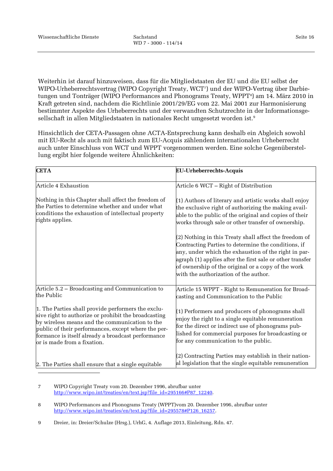Weiterhin ist darauf hinzuweisen, dass für die Mitgliedstaaten der EU und die EU selbst der WIPO-Urheberrechtsvertrag (WIPO Copyright Treaty, WCT[7](#page-15-0) ) und der WIPO-Vertrag über Darbietungen und Tonträger (WIPO Performances and Phonograms Treaty, WPPT®) am 14. März 2010 in Kraft getreten sind, nachdem die Richtlinie 2001/29/EG vom 22. Mai 2001 zur Harmonisierung bestimmter Aspekte des Urheberrechts und der verwandten Schutzrechte in der Informationsgesellschaft in allen Mitgliedstaaten in nationales Recht umgesetzt worden ist[.](#page-15-2)<sup>9</sup>

Hinsichtlich der CETA-Passagen ohne ACTA-Entsprechung kann deshalb ein Abgleich sowohl mit EU-Recht als auch mit faktisch zum EU-Acquis zählendem internationalen Urheberrecht auch unter Einschluss von WCT und WPPT vorgenommen werden. Eine solche Gegenüberstellung ergibt hier folgende weitere Ähnlichkeiten:

| <b>CETA</b>                                                                                                                                                                                                                                                                                              | <b>EU-Urheberrechts-Acquis</b>                                                                                                                                                                                                                                                                                                    |
|----------------------------------------------------------------------------------------------------------------------------------------------------------------------------------------------------------------------------------------------------------------------------------------------------------|-----------------------------------------------------------------------------------------------------------------------------------------------------------------------------------------------------------------------------------------------------------------------------------------------------------------------------------|
| Article 4 Exhaustion                                                                                                                                                                                                                                                                                     | Article 6 WCT - Right of Distribution                                                                                                                                                                                                                                                                                             |
| Nothing in this Chapter shall affect the freedom of<br>the Parties to determine whether and under what<br>conditions the exhaustion of intellectual property<br>rights applies.                                                                                                                          | (1) Authors of literary and artistic works shall enjoy<br>the exclusive right of authorizing the making avail-<br>able to the public of the original and copies of their<br>works through sale or other transfer of ownership.                                                                                                    |
|                                                                                                                                                                                                                                                                                                          | (2) Nothing in this Treaty shall affect the freedom of<br>Contracting Parties to determine the conditions, if<br>any, under which the exhaustion of the right in par-<br>agraph (1) applies after the first sale or other transfer<br>of ownership of the original or a copy of the work<br>with the authorization of the author. |
| Article 5.2 – Broadcasting and Communication to<br>the Public                                                                                                                                                                                                                                            | Article 15 WPPT - Right to Remuneration for Broad-<br>casting and Communication to the Public                                                                                                                                                                                                                                     |
| 1. The Parties shall provide performers the exclu-<br>sive right to authorize or prohibit the broadcasting<br>by wireless means and the communication to the<br>public of their performances, except where the per-<br>formance is itself already a broadcast performance<br>or is made from a fixation. | (1) Performers and producers of phonograms shall<br>enjoy the right to a single equitable remuneration<br>for the direct or indirect use of phonograms pub-<br>lished for commercial purposes for broadcasting or<br>for any communication to the public.                                                                         |
| 2. The Parties shall ensure that a single equitable                                                                                                                                                                                                                                                      | (2) Contracting Parties may establish in their nation-<br>al legislation that the single equitable remuneration                                                                                                                                                                                                                   |

<span id="page-15-0"></span><sup>7</sup> WIPO Copyright Treaty vom 20. Dezember 1996, abrufbar unter http://www.wipo.int/treaties/en/text.jsp?file\_id=295166#P87\_12240.

<span id="page-15-1"></span><sup>8</sup> WIPO Performances and Phonograms Treaty (WPPT)vom 20. Dezember 1996, abrufbar unter http://www.wipo.int/treaties/en/text.jsp?file\_id=295578#P126\_16257.

<span id="page-15-2"></span><sup>9</sup> Dreier, in: Dreier/Schulze (Hrsg.), UrhG, 4. Auflage 2013, Einleitung, Rdn. 47.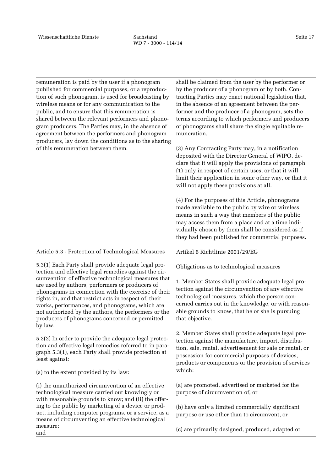| remuneration is paid by the user if a phonogram<br>published for commercial purposes, or a reproduc-<br>tion of such phonogram, is used for broadcasting by<br>wireless means or for any communication to the<br>public, and to ensure that this remuneration is<br>shared between the relevant performers and phono-<br>gram producers. The Parties may, in the absence of<br>agreement between the performers and phonogram<br>producers, lay down the conditions as to the sharing<br>of this remuneration between them. | shall be claimed from the user by the performer or<br>by the producer of a phonogram or by both. Con-<br>tracting Parties may enact national legislation that,<br>in the absence of an agreement between the per-<br>former and the producer of a phonogram, sets the<br>terms according to which performers and producers<br>of phonograms shall share the single equitable re-<br>muneration.<br>(3) Any Contracting Party may, in a notification<br>deposited with the Director General of WIPO, de-<br>clare that it will apply the provisions of paragraph<br>$(1)$ only in respect of certain uses, or that it will<br>limit their application in some other way, or that it<br>will not apply these provisions at all.<br>(4) For the purposes of this Article, phonograms<br>made available to the public by wire or wireless<br>means in such a way that members of the public<br>may access them from a place and at a time indi-<br>vidually chosen by them shall be considered as if<br>they had been published for commercial purposes. |
|-----------------------------------------------------------------------------------------------------------------------------------------------------------------------------------------------------------------------------------------------------------------------------------------------------------------------------------------------------------------------------------------------------------------------------------------------------------------------------------------------------------------------------|------------------------------------------------------------------------------------------------------------------------------------------------------------------------------------------------------------------------------------------------------------------------------------------------------------------------------------------------------------------------------------------------------------------------------------------------------------------------------------------------------------------------------------------------------------------------------------------------------------------------------------------------------------------------------------------------------------------------------------------------------------------------------------------------------------------------------------------------------------------------------------------------------------------------------------------------------------------------------------------------------------------------------------------------------|
| Article 5.3 - Protection of Technological Measures                                                                                                                                                                                                                                                                                                                                                                                                                                                                          | Artikel 6 Richtlinie 2001/29/EG                                                                                                                                                                                                                                                                                                                                                                                                                                                                                                                                                                                                                                                                                                                                                                                                                                                                                                                                                                                                                      |
| 5.3(1) Each Party shall provide adequate legal pro-<br>tection and effective legal remedies against the cir-<br>cumvention of effective technological measures that<br>are used by authors, performers or producers of<br>phonograms in connection with the exercise of their<br>rights in, and that restrict acts in respect of, their<br>works, performances, and phonograms, which are<br>not authorized by the authors, the performers or the<br>producers of phonograms concerned or permitted<br>by law.              | Obligations as to technological measures<br>1. Member States shall provide adequate legal pro-<br>tection against the circumvention of any effective<br>technological measures, which the person con-<br>cerned carries out in the knowledge, or with reason-<br>able grounds to know, that he or she is pursuing<br>that objective.                                                                                                                                                                                                                                                                                                                                                                                                                                                                                                                                                                                                                                                                                                                 |
| 5.3(2) In order to provide the adequate legal protec-<br>tion and effective legal remedies referred to in para-<br>graph 5.3(1), each Party shall provide protection at<br>least against:<br>(a) to the extent provided by its law:                                                                                                                                                                                                                                                                                         | 2. Member States shall provide adequate legal pro-<br>tection against the manufacture, import, distribu-<br>tion, sale, rental, advertisement for sale or rental, or<br>possession for commercial purposes of devices,<br>products or components or the provision of services<br>which:                                                                                                                                                                                                                                                                                                                                                                                                                                                                                                                                                                                                                                                                                                                                                              |
| (i) the unauthorized circumvention of an effective<br>technological measure carried out knowingly or<br>with reasonable grounds to know; and (ii) the offer-<br>ing to the public by marketing of a device or prod-<br>uct, including computer programs, or a service, as a<br>means of circumventing an effective technological<br>measure;                                                                                                                                                                                | (a) are promoted, advertised or marketed for the<br>purpose of circumvention of, or<br>(b) have only a limited commercially significant<br>purpose or use other than to circumvent, or<br>(c) are primarily designed, produced, adapted or                                                                                                                                                                                                                                                                                                                                                                                                                                                                                                                                                                                                                                                                                                                                                                                                           |
| and                                                                                                                                                                                                                                                                                                                                                                                                                                                                                                                         |                                                                                                                                                                                                                                                                                                                                                                                                                                                                                                                                                                                                                                                                                                                                                                                                                                                                                                                                                                                                                                                      |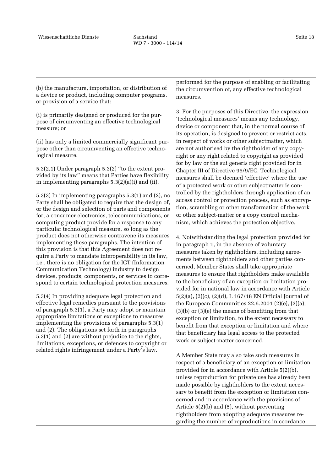(b) the manufacture, importation, or distribution of a device or product, including computer programs, or provision of a service that:

(i) is primarily designed or produced for the purpose of circumventing an effective technological measure; or

(ii) has only a limited commercially significant purpose other than circumventing an effective technological measure.

5.3(2.1) Under paragraph 5.3(2) "to the extent provided by its law" means that Parties have flexibility in implementing paragraphs 5.3(2)(a)(i) and (ii).

5.3(3) In implementing paragraphs 5.3(1) and (2), no Party shall be obligated to require that the design of, or the design and selection of parts and components for, a consumer electronics, telecommunications, or computing product provide for a response to any particular technological measure, so long as the product does not otherwise contravene its measures implementing these paragraphs. The intention of this provision is that this Agreement does not require a Party to mandate interoperability in its law, i.e., there is no obligation for the ICT (Information Communication Technology) industry to design devices, products, components, or services to correspond to certain technological protection measures.

5.3(4) In providing adequate legal protection and effective legal remedies pursuant to the provisions of paragraph 5.3(1), a Party may adopt or maintain appropriate limitations or exceptions to measures implementing the provisions of paragraphs 5.3(1) and (2). The obligations set forth in paragraphs 5.3(1) and (2) are without prejudice to the rights, limitations, exceptions, or defences to copyright or related rights infringement under a Party's law.

performed for the purpose of enabling or facilitating the circumvention of, any effective technological measures.

3. For the purposes of this Directive, the expression 'technological measures' means any technology, device or component that, in the normal course of its operation, is designed to prevent or restrict acts, in respect of works or other subjectmatter, which are not authorised by the rightholder of any copyright or any right related to copyright as provided for by law or the sui generis right provided for in Chapter III of Directive 96/9/EC. Technological measures shall be deemed 'effective' where the use of a protected work or other subjectmatter is controlled by the rightholders through application of an access control or protection process, such as encryption, scrambling or other transformation of the work or other subject-matter or a copy control mechanism, which achieves the protection objective.

4. Notwithstanding the legal protection provided for in paragraph 1, in the absence of voluntary measures taken by rightholders, including agreements between rightholders and other parties concerned, Member States shall take appropriate measures to ensure that rightholders make available to the beneficiary of an exception or limitation provided for in national law in accordance with Article 5(2)(a), (2)(c), (2)(d), L 167/18 EN Official Journal of the European Communities 22.6.2001 (2)(e), (3)(a), (3)(b) or (3)(e) the means of benefiting from that exception or limitation, to the extent necessary to benefit from that exception or limitation and where that beneficiary has legal access to the protected work or subject-matter concerned.

A Member State may also take such measures in respect of a beneficiary of an exception or limitation provided for in accordance with Article 5(2)(b), unless reproduction for private use has already been made possible by rightholders to the extent necessary to benefit from the exception or limitation concerned and in accordance with the provisions of Article 5(2)(b) and (5), without preventing rightholders from adopting adequate measures regarding the number of reproductions in ccordance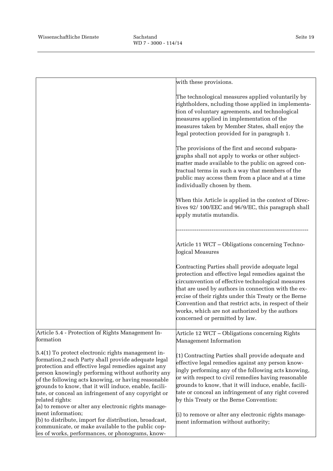|                                                                                                                                                                                                                                                                                                                                                                                                                                                                                               | with these provisions.                                                                                                                                                                                                                                                                                                                                                                                                                    |
|-----------------------------------------------------------------------------------------------------------------------------------------------------------------------------------------------------------------------------------------------------------------------------------------------------------------------------------------------------------------------------------------------------------------------------------------------------------------------------------------------|-------------------------------------------------------------------------------------------------------------------------------------------------------------------------------------------------------------------------------------------------------------------------------------------------------------------------------------------------------------------------------------------------------------------------------------------|
|                                                                                                                                                                                                                                                                                                                                                                                                                                                                                               | The technological measures applied voluntarily by<br>rightholders, ncluding those applied in implementa-<br>tion of voluntary agreements, and technological<br>measures applied in implementation of the<br>measures taken by Member States, shall enjoy the<br>legal protection provided for in paragraph 1.                                                                                                                             |
|                                                                                                                                                                                                                                                                                                                                                                                                                                                                                               | The provisions of the first and second subpara-<br>graphs shall not apply to works or other subject-<br>matter made available to the public on agreed con-<br>tractual terms in such a way that members of the<br>public may access them from a place and at a time<br>individually chosen by them.                                                                                                                                       |
|                                                                                                                                                                                                                                                                                                                                                                                                                                                                                               | When this Article is applied in the context of Direc-<br>tives 92/ 100/EEC and 96/9/EC, this paragraph shall<br>apply mutatis mutandis.                                                                                                                                                                                                                                                                                                   |
|                                                                                                                                                                                                                                                                                                                                                                                                                                                                                               | Article 11 WCT – Obligations concerning Techno-<br>logical Measures                                                                                                                                                                                                                                                                                                                                                                       |
|                                                                                                                                                                                                                                                                                                                                                                                                                                                                                               | Contracting Parties shall provide adequate legal<br>protection and effective legal remedies against the<br>circumvention of effective technological measures<br>that are used by authors in connection with the ex-<br>ercise of their rights under this Treaty or the Berne<br>Convention and that restrict acts, in respect of their<br>works, which are not authorized by the authors<br>concerned or permitted by law.                |
| Article 5.4 - Protection of Rights Management In-<br>formation                                                                                                                                                                                                                                                                                                                                                                                                                                | Article 12 WCT - Obligations concerning Rights<br>Management Information                                                                                                                                                                                                                                                                                                                                                                  |
| 5.4(1) To protect electronic rights management in-<br>formation,2 each Party shall provide adequate legal<br>protection and effective legal remedies against any<br>person knowingly performing without authority any<br>of the following acts knowing, or having reasonable<br>grounds to know, that it will induce, enable, facili-<br>tate, or conceal an infringement of any copyright or<br>related rights:<br>(a) to remove or alter any electronic rights manage-<br>ment information; | (1) Contracting Parties shall provide adequate and<br>effective legal remedies against any person know-<br>ingly performing any of the following acts knowing,<br>or with respect to civil remedies having reasonable<br>grounds to know, that it will induce, enable, facili-<br>tate or conceal an infringement of any right covered<br>by this Treaty or the Berne Convention:<br>(i) to remove or alter any electronic rights manage- |
| (b) to distribute, import for distribution, broadcast,<br>communicate, or make available to the public cop-<br>ies of works, performances, or phonograms, know-                                                                                                                                                                                                                                                                                                                               | ment information without authority;                                                                                                                                                                                                                                                                                                                                                                                                       |